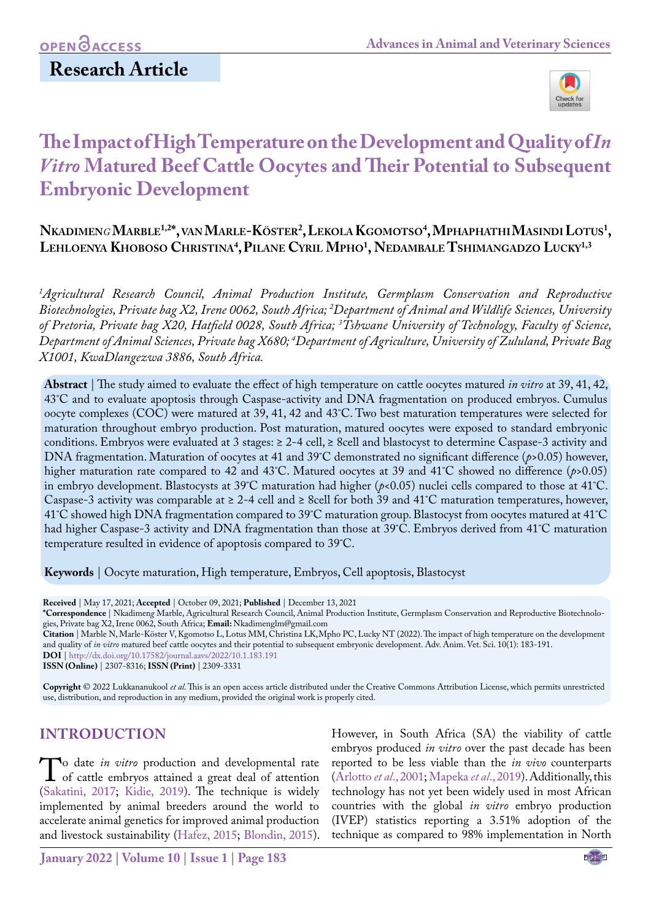# OPEN **OACCESS**

# **Research Article**



# **The Impact of High Temperature on the Development and Quality of** *In Vitro* **Matured Beef Cattle Oocytes and Their Potential to Subsequent Embryonic Development**

## **Nkadimen***g***Marble1,2\*, vanMarle-Köster2 , LekolaKgomotso4 , MphaphathiMasindiLotus1 , Lehloenya Khoboso Christina4 ,Pilane Cyril Mpho1 , Nedambale Tshimangadzo Lucky1,3**

*1 Agricultural Research Council, Animal Production Institute, Germplasm Conservation and Reproductive Biotechnologies, Private bag X2, Irene 0062, South Africa; 2 Department of Animal and Wildlife Sciences, University of Pretoria, Private bag X20, Hatfield 0028, South Africa; 3 Tshwane University of Technology, Faculty of Science,*  Department of Animal Sciences, Private bag X680; <sup>4</sup>Department of Agriculture, University of Zululand, Private Bag *X1001, KwaDlangezwa 3886, South Africa.*

**Abstract** | The study aimed to evaluate the effect of high temperature on cattle oocytes matured *in vitro* at 39, 41, 42, 43˚C and to evaluate apoptosis through Caspase-activity and DNA fragmentation on produced embryos. Cumulus oocyte complexes (COC) were matured at 39, 41, 42 and 43˚C. Two best maturation temperatures were selected for maturation throughout embryo production. Post maturation, matured oocytes were exposed to standard embryonic conditions. Embryos were evaluated at 3 stages: ≥ 2-4 cell, ≥ 8cell and blastocyst to determine Caspase-3 activity and DNA fragmentation. Maturation of oocytes at 41 and 39˚C demonstrated no significant difference (*p*>0.05) however, higher maturation rate compared to 42 and 43°C. Matured oocytes at 39 and 41°C showed no difference ( $p$ >0.05) in embryo development. Blastocysts at 39°C maturation had higher ( $p$ <0.05) nuclei cells compared to those at 41°C. Caspase-3 activity was comparable at ≥ 2-4 cell and ≥ 8cell for both 39 and 41˚C maturation temperatures, however, 41˚C showed high DNA fragmentation compared to 39˚C maturation group. Blastocyst from oocytes matured at 41˚C had higher Caspase-3 activity and DNA fragmentation than those at 39˚C. Embryos derived from 41˚C maturation temperature resulted in evidence of apoptosis compared to 39˚C.

**Keywords** | Oocyte maturation, High temperature, Embryos, Cell apoptosis, Blastocyst

**Received** | May 17, 2021; **Accepted** | October 09, 2021; **Published** | December 13, 2021

**\*Correspondence** | Nkadimen*g* Marble, Agricultural Research Council, Animal Production Institute, Germplasm Conservation and Reproductive Biotechnologies, Private bag X2, Irene 0062, South Africa; **Email:** Nkadimenglm@gmail.com

**Citation** | Marble N, Marle-Köster V, Kgomotso L, Lotus MM, Christina LK,Mpho PC, Lucky NT (2022). The impact of high temperature on the development and quality of *in vitro* matured beef cattle oocytes and their potential to subsequent embryonic development. Adv. Anim. Vet. Sci. 10(1): 183-191. **DOI** |<http://dx.doi.org/10.17582/journal.aavs/2022/10.1.183.191>

**ISSN (Online)** | 2307-8316; **ISSN (Print)** | 2309-3331

**Copyright** © 2022 Lukkananukool *et al*. This is an open access article distributed under the Creative Commons Attribution License, which permits unrestricted use, distribution, and reproduction in any medium, provided the original work is properly cited.

## **Introduction**

To date *in vitro* production and developmental rate<br>of cattle embryos attained a great deal of attention<br>(Sakatini, 2017: Kidie, 2019) The technique is widely ([Sakatini, 2017;](#page-7-0) [Kidie, 2019](#page-7-1)). The technique is widely implemented by animal breeders around the world to accelerate animal genetics for improved animal production and livestock sustainability [\(Hafez, 2015;](#page-6-0) [Blondin, 2015](#page-6-1)). However, in South Africa (SA) the viability of cattle embryos produced *in vitro* over the past decade has been reported to be less viable than the *in vivo* counterparts ([Arlotto](#page-6-2) *et al*., 2001; Mapeka *et al*., 2019). Additionally, this technology has not yet been widely used in most African countries with the global *in vitro* embryo production (IVEP) statistics reporting a 3.51% adoption of the technique as compared to 98% implementation in North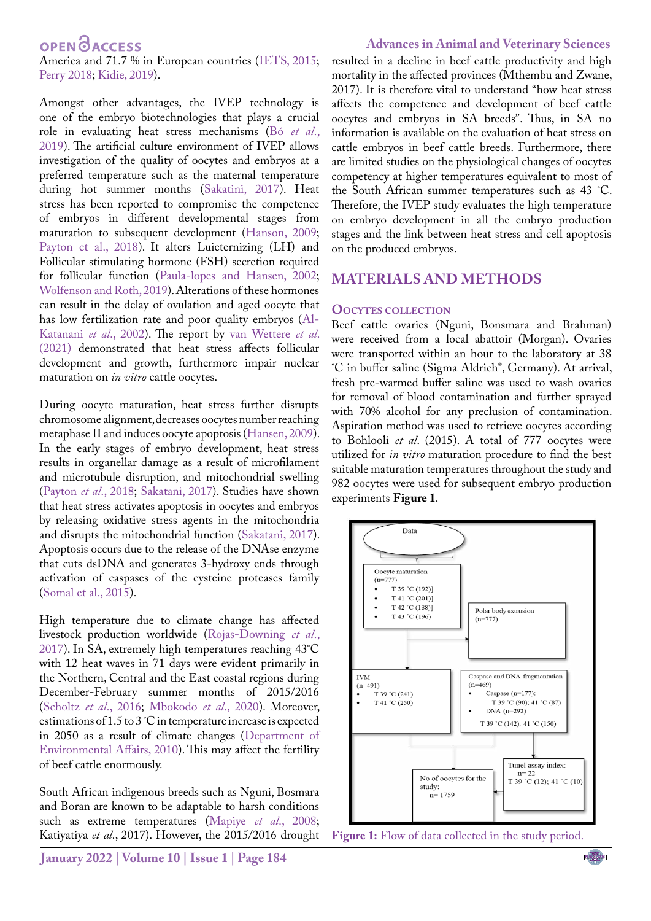## **OPEN**OACCESS

America and 71.7 % in European countries [\(IETS, 2015;](#page-7-2) [Perry 2018](#page-7-3); [Kidie, 2019](#page-7-1)).

Amongst other advantages, the IVEP technology is one of the embryo biotechnologies that plays a crucial role in evaluating heat stress mechanisms (Bó *et al*., 2019). The artificial culture environment of IVEP allows investigation of the quality of oocytes and embryos at a preferred temperature such as the maternal temperature during hot summer months ([Sakatini, 2017\)](#page-7-0). Heat stress has been reported to compromise the competence of embryos in different developmental stages from maturation to subsequent development ([Hanson, 2009;](#page-6-0) [Payton et al., 2018](#page-7-4)). It alters Luieternizing (LH) and Follicular stimulating hormone (FSH) secretion required for follicular function [\(Paula-lopes and Hansen, 2002;](#page-7-5) [Wolfenson and Roth, 2019](#page-8-0)). Alterations of these hormones can result in the delay of ovulation and aged oocyte that has low fertilization rate and poor quality embryos ([Al-](#page-6-3)[Katanani](#page-6-3) *et al*., 2002). The report by [van Wettere](#page-8-1) *et al*. [\(2021\)](#page-8-1) demonstrated that heat stress affects follicular development and growth, furthermore impair nuclear maturation on *in vitro* cattle oocytes.

During oocyte maturation, heat stress further disrupts chromosome alignment, decreases oocytes number reaching metaphase II and induces oocyte apoptosis ([Hansen, 2009](#page-6-0)). In the early stages of embryo development, heat stress results in organellar damage as a result of microfilament and microtubule disruption, and mitochondrial swelling ([Payton](#page-7-4) *et al*., 2018; [Sakatani, 2017](#page-7-0)). Studies have shown that heat stress activates apoptosis in oocytes and embryos by releasing oxidative stress agents in the mitochondria and disrupts the mitochondrial function ([Sakatani, 2017](#page-7-0)). Apoptosis occurs due to the release of the DNAse enzyme that cuts dsDNA and generates 3-hydroxy ends through activation of caspases of the cysteine proteases family ([Somal et al., 2015\)](#page-7-6).

High temperature due to climate change has affected livestock production worldwide [\(Rojas-Downing](#page-7-7) *et al*., [2017\)](#page-7-7). In SA, extremely high temperatures reaching 43˚C with 12 heat waves in 71 days were evident primarily in the Northern, Central and the East coastal regions during December-February summer months of 2015/2016 ([Scholtz](#page-7-8) *et al*., 2016; [Mbokodo](#page-7-9) *et al*., 2020). Moreover, estimations of 1.5 to 3 ˚C in temperature increase is expected in 2050 as a result of climate changes ([Department of](#page-6-4)  [Environmental Affairs, 2010\)](#page-6-4). This may affect the fertility of beef cattle enormously.

South African indigenous breeds such as Nguni, Bosmara and Boran are known to be adaptable to harsh conditions such as extreme temperatures ([Mapiye](#page-7-10) *et al*., 2008; Katiyatiya *et al*., 2017). However, the 2015/2016 drought resulted in a decline in beef cattle productivity and high mortality in the affected provinces (Mthembu and Zwane, 2017). It is therefore vital to understand "how heat stress affects the competence and development of beef cattle oocytes and embryos in SA breeds". Thus, in SA no information is available on the evaluation of heat stress on cattle embryos in beef cattle breeds. Furthermore, there are limited studies on the physiological changes of oocytes competency at higher temperatures equivalent to most of the South African summer temperatures such as 43 ˚C. Therefore, the IVEP study evaluates the high temperature on embryo development in all the embryo production stages and the link between heat stress and cell apoptosis on the produced embryos.

## **MATERIALS AND METHODS**

#### **Oocytes collection**

Beef cattle ovaries (Nguni, Bonsmara and Brahman) were received from a local abattoir (Morgan). Ovaries were transported within an hour to the laboratory at 38 ˚C in buffer saline (Sigma Aldrich® , Germany). At arrival, fresh pre-warmed buffer saline was used to wash ovaries for removal of blood contamination and further sprayed with 70% alcohol for any preclusion of contamination. Aspiration method was used to retrieve oocytes according to Bohlooli *et al*. (2015). A total of 777 oocytes were utilized for *in vitro* maturation procedure to find the best suitable maturation temperatures throughout the study and 982 oocytes were used for subsequent embryo production experiments **Figure 1**.



<span id="page-1-0"></span>Figure 1: Flow of data collected in the study period.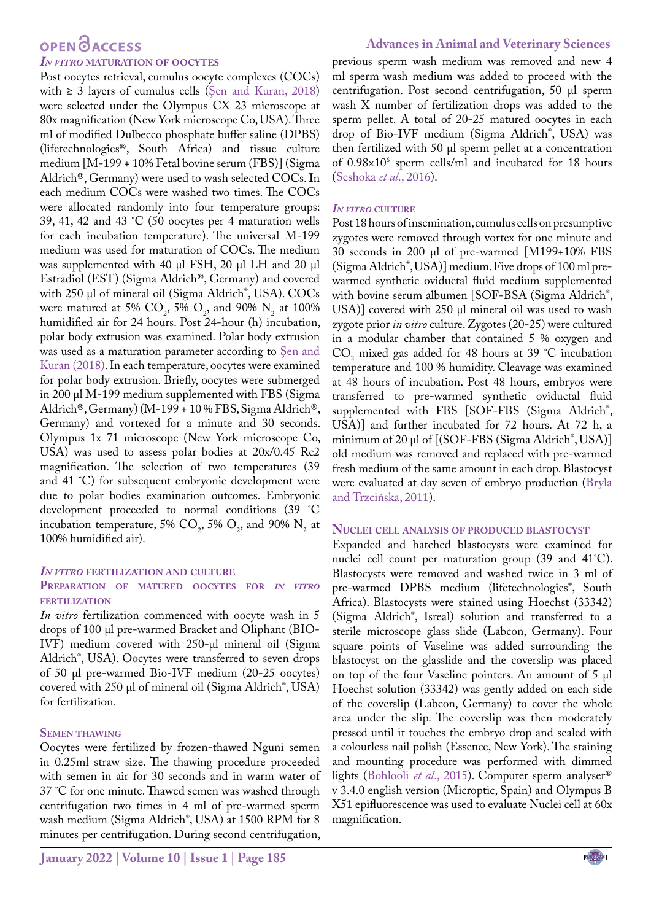# **OPEN**<sub>d</sub>

#### *In vitro* **maturation of oocytes**

Post oocytes retrieval, cumulus oocyte complexes (COCs) with  $\geq$  3 layers of cumulus cells (Sen and Kuran, 2018) were selected under the Olympus CX 23 microscope at 80x magnification (New York microscope Co, USA). Three ml of modified Dulbecco phosphate buffer saline (DPBS) (lifetechnologies®, South Africa) and tissue culture medium [M-199 + 10% Fetal bovine serum (FBS)] (Sigma Aldrich®, Germany) were used to wash selected COCs. In each medium COCs were washed two times. The COCs were allocated randomly into four temperature groups: 39, 41, 42 and 43 ˚C (50 oocytes per 4 maturation wells for each incubation temperature). The universal M-199 medium was used for maturation of COCs. The medium was supplemented with 40 μl FSH, 20 μl LH and 20 μl Estradiol (EST) (Sigma Aldrich®, Germany) and covered with 250 μl of mineral oil (Sigma Aldrich® , USA). COCs were matured at 5%  $CO_2$ , 5%  $O_2$ , and 90%  $N_2$  at 100% humidified air for 24 hours. Post 24-hour (h) incubation, polar body extrusion was examined. Polar body extrusion was used as a maturation parameter according to [Şen and](#page-7-11)  [Kuran \(2018\).](#page-7-11) In each temperature, oocytes were examined for polar body extrusion. Briefly, oocytes were submerged in 200 μl M-199 medium supplemented with FBS (Sigma Aldrich®, Germany) (M-199 + 10 % FBS, Sigma Aldrich®, Germany) and vortexed for a minute and 30 seconds. Olympus 1x 71 microscope (New York microscope Co, USA) was used to assess polar bodies at 20x/0.45 Rc2 magnification. The selection of two temperatures (39 and 41 ˚C) for subsequent embryonic development were due to polar bodies examination outcomes. Embryonic development proceeded to normal conditions (39 ˚C incubation temperature, 5%  $CO_2$ , 5%  $O_2$ , and 90%  $N_2$  at 100% humidified air).

#### *In vitro* **fertilization and culture**

#### **Preparation of matured oocytes for** *in vitro* **fertilization**

*In vitro* fertilization commenced with oocyte wash in 5 drops of 100 μl pre-warmed Bracket and Oliphant (BIO-IVF) medium covered with 250-μl mineral oil (Sigma Aldrich® , USA). Oocytes were transferred to seven drops of 50 μl pre-warmed Bio-IVF medium (20-25 oocytes) covered with 250 μl of mineral oil (Sigma Aldrich® , USA) for fertilization.

#### **Semen thawing**

Oocytes were fertilized by frozen-thawed Nguni semen in 0.25ml straw size. The thawing procedure proceeded with semen in air for 30 seconds and in warm water of 37 ˚C for one minute. Thawed semen was washed through centrifugation two times in 4 ml of pre-warmed sperm wash medium (Sigma Aldrich® , USA) at 1500 RPM for 8 minutes per centrifugation. During second centrifugation,

previous sperm wash medium was removed and new 4 ml sperm wash medium was added to proceed with the centrifugation. Post second centrifugation, 50 µl sperm wash X number of fertilization drops was added to the sperm pellet. A total of 20-25 matured oocytes in each drop of Bio-IVF medium (Sigma Aldrich® , USA) was then fertilized with 50 µl sperm pellet at a concentration of 0.98×106 sperm cells/ml and incubated for 18 hours ([Seshoka](#page-7-12) *et al*., 2016).

#### *In vitro* **culture**

Post 18 hours of insemination, cumulus cells on presumptive zygotes were removed through vortex for one minute and 30 seconds in 200 μl of pre-warmed [M199+10% FBS (Sigma Aldrich® , USA)] medium. Five drops of 100 ml prewarmed synthetic oviductal fluid medium supplemented with bovine serum albumen [SOF-BSA (Sigma Aldrich® , USA)] covered with 250 μl mineral oil was used to wash zygote prior *in vitro* culture. Zygotes (20-25) were cultured in a modular chamber that contained 5 % oxygen and  $CO<sub>2</sub>$  mixed gas added for 48 hours at 39 °C incubation temperature and 100 % humidity. Cleavage was examined at 48 hours of incubation. Post 48 hours, embryos were transferred to pre-warmed synthetic oviductal fluid supplemented with FBS [SOF-FBS (Sigma Aldrich® , USA)] and further incubated for 72 hours. At 72 h, a minimum of 20 μl of [(SOF-FBS (Sigma Aldrich® , USA)] old medium was removed and replaced with pre-warmed fresh medium of the same amount in each drop. Blastocyst were evaluated at day seven of embryo production (Bryla and Trzcińska, 2011).

#### **Nuclei cell analysis of produced blastocyst**

Expanded and hatched blastocysts were examined for nuclei cell count per maturation group (39 and 41˚C). Blastocysts were removed and washed twice in 3 ml of pre-warmed DPBS medium (lifetechnologies® , South Africa). Blastocysts were stained using Hoechst (33342) (Sigma Aldrich® , Isreal) solution and transferred to a sterile microscope glass slide (Labcon, Germany). Four square points of Vaseline was added surrounding the blastocyst on the glasslide and the coverslip was placed on top of the four Vaseline pointers. An amount of 5 μl Hoechst solution (33342) was gently added on each side of the coverslip (Labcon, Germany) to cover the whole area under the slip. The coverslip was then moderately pressed until it touches the embryo drop and sealed with a colourless nail polish (Essence, New York). The staining and mounting procedure was performed with dimmed lights (Bohlooli *et al*., 2015). Computer sperm analyser® v 3.4.0 english version (Microptic, Spain) and Olympus B X51 epifluorescence was used to evaluate Nuclei cell at 60x magnification.

NE**X**US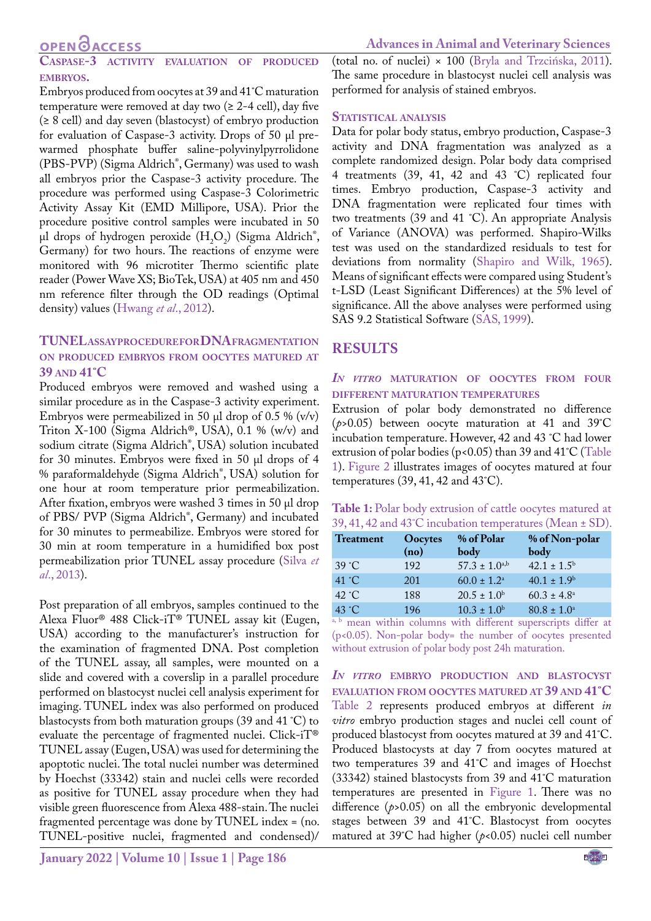# **OPENOACCESS**

**Advances in Animal and Veterinary Sciences**

#### **ACTIVITY EVALUATION OF PRODUCED EMBRYOS.**

Embryos produced from oocytes at 39 and 41˚C maturation temperature were removed at day two  $(≥ 2-4$  cell), day five (≥ 8 cell) and day seven (blastocyst) of embryo production for evaluation of Caspase-3 activity. Drops of 50 μl prewarmed phosphate buffer saline-polyvinylpyrrolidone (PBS-PVP) (Sigma Aldrich® , Germany) was used to wash all embryos prior the Caspase-3 activity procedure. The procedure was performed using Caspase-3 Colorimetric Activity Assay Kit (EMD Millipore, USA). Prior the procedure positive control samples were incubated in 50 μl drops of hydrogen peroxide (H<sub>2</sub>O<sub>2</sub>) (Sigma Aldrich®, Germany) for two hours. The reactions of enzyme were monitored with 96 microtiter Thermo scientific plate reader (Power Wave XS; BioTek, USA) at 405 nm and 450 nm reference filter through the OD readings (Optimal density) values ([Hwang](#page-6-5) *et al*., 2012).

### **TUNELassayprocedureforDNAfragmentation on produced embryos from oocytes matured at 39 and 41˚C**

Produced embryos were removed and washed using a similar procedure as in the Caspase-3 activity experiment. Embryos were permeabilized in 50  $\mu$ l drop of 0.5 % (v/v) Triton X-100 (Sigma Aldrich®, USA), 0.1 % (w/v) and sodium citrate (Sigma Aldrich® , USA) solution incubated for 30 minutes. Embryos were fixed in 50 μl drops of 4 % paraformaldehyde (Sigma Aldrich® , USA) solution for one hour at room temperature prior permeabilization. After fixation, embryos were washed 3 times in 50 μl drop of PBS/ PVP (Sigma Aldrich® , Germany) and incubated for 30 minutes to permeabilize. Embryos were stored for 30 min at room temperature in a humidified box post permeabilization prior TUNEL assay procedure ([Silva](#page-7-13) *et al*[., 2013](#page-7-13)).

Post preparation of all embryos, samples continued to the Alexa Fluor® 488 Click-iT® TUNEL assay kit (Eugen, USA) according to the manufacturer's instruction for the examination of fragmented DNA. Post completion of the TUNEL assay, all samples, were mounted on a slide and covered with a coverslip in a parallel procedure performed on blastocyst nuclei cell analysis experiment for imaging. TUNEL index was also performed on produced blastocysts from both maturation groups (39 and 41 ˚C) to evaluate the percentage of fragmented nuclei. Click-iT® TUNEL assay (Eugen, USA) was used for determining the apoptotic nuclei. The total nuclei number was determined by Hoechst (33342) stain and nuclei cells were recorded as positive for TUNEL assay procedure when they had visible green fluorescence from Alexa 488-stain. The nuclei fragmented percentage was done by TUNEL index = (no. TUNEL-positive nuclei, fragmented and condensed)/

(total no. of nuclei) × 100 (Bryla and Trzcińska, 2011). The same procedure in blastocyst nuclei cell analysis was performed for analysis of stained embryos.

#### **Statistical analysis**

Data for polar body status, embryo production, Caspase-3 activity and DNA fragmentation was analyzed as a complete randomized design. Polar body data comprised 4 treatments (39, 41, 42 and 43 ˚C) replicated four times. Embryo production, Caspase-3 activity and DNA fragmentation were replicated four times with two treatments (39 and 41 ˚C). An appropriate Analysis of Variance (ANOVA) was performed. Shapiro-Wilks test was used on the standardized residuals to test for deviations from normality [\(Shapiro and Wilk, 1965\)](#page-7-14). Means of significant effects were compared using Student's t-LSD (Least Significant Differences) at the 5% level of significance. All the above analyses were performed using SAS 9.2 Statistical Software [\(SAS, 1999\)](#page-7-15).

## **Results**

### *In vitro* **maturation of oocytes from four different maturation temperatures**

Extrusion of polar body demonstrated no difference (*p*>0.05) between oocyte maturation at 41 and 39˚C incubation temperature. However, 42 and 43 ˚C had lower extrusion of polar bodies (p<0.05) than 39 and 41˚C ([Table](#page-3-0) [1](#page-3-0)). [Figure 2](#page-4-0) illustrates images of oocytes matured at four temperatures (39, 41, 42 and 43˚C).

<span id="page-3-0"></span>

| Table 1: Polar body extrusion of cattle oocytes matured at |  |  |
|------------------------------------------------------------|--|--|
| 39, 41, 42 and 43°C incubation temperatures (Mean ± SD).   |  |  |

| <b>Treatment</b> | Oocytes<br>(no) | % of Polar<br>body     | % of Non-polar<br>body |
|------------------|-----------------|------------------------|------------------------|
| $39^{\circ}$ C   | 192             | $57.3 \pm 1.0^{a,b}$   | $42.1 \pm 1.5^{\circ}$ |
| 41 °C            | 201             | $60.0 \pm 1.2^{\circ}$ | $40.1 \pm 1.9^b$       |
| 42 °C            | 188             | $20.5 \pm 1.0^{\rm b}$ | $60.3 \pm 4.8^{\circ}$ |
| 43 °C            | 196             | $10.3 \pm 1.0^b$       | $80.8 \pm 1.0^{\circ}$ |

a, b mean within columns with different superscripts differ at (p<0.05). Non-polar body= the number of oocytes presented without extrusion of polar body post 24h maturation.

*In vitro* **embryo production and blastocyst evaluation from oocytes matured at 39 and 41˚C** [Table 2](#page-4-1) represents produced embryos at different *in vitro* embryo production stages and nuclei cell count of produced blastocyst from oocytes matured at 39 and 41˚C. Produced blastocysts at day 7 from oocytes matured at two temperatures 39 and 41˚C and images of Hoechst (33342) stained blastocysts from 39 and 41˚C maturation temperatures are presented in [Figure 1](#page-1-0). There was no difference (*p*>0.05) on all the embryonic developmental stages between 39 and 41˚C. Blastocyst from oocytes matured at 39˚C had higher (*p*<0.05) nuclei cell number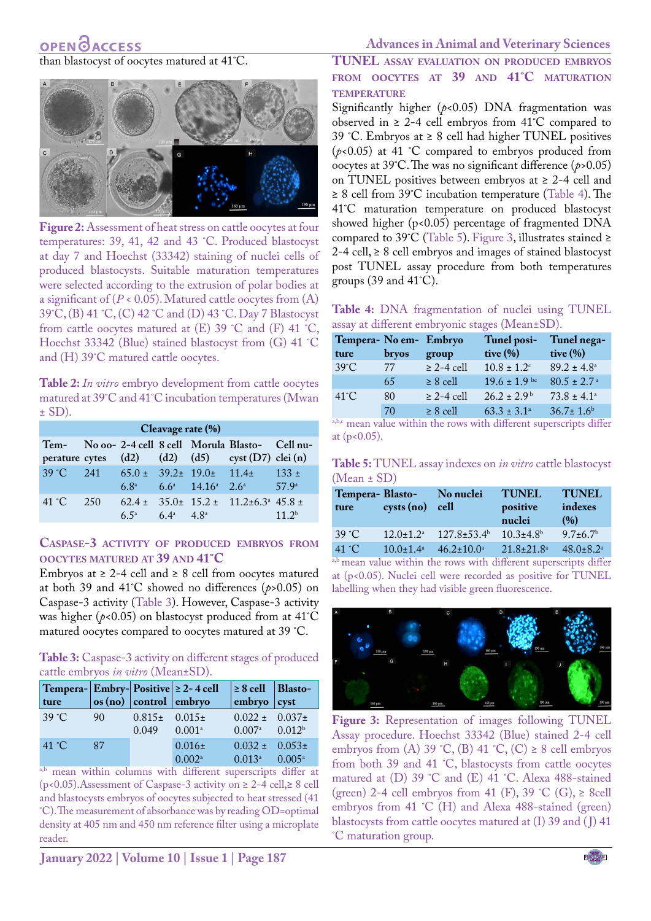#### **Advances in Animal and Veterinary Sciences**

than blastocyst of oocytes matured at 41˚C.

<span id="page-4-0"></span>

**Figure 2:** Assessment of heat stress on cattle oocytes at four temperatures: 39, 41, 42 and 43 ˚C. Produced blastocyst at day 7 and Hoechst (33342) staining of nuclei cells of produced blastocysts. Suitable maturation temperatures were selected according to the extrusion of polar bodies at a significant of  $(P < 0.05)$ . Matured cattle oocytes from  $(A)$ 39˚C, (B) 41 ˚C, (C) 42 ˚C and (D) 43 ˚C. Day 7 Blastocyst from cattle oocytes matured at  $(E)$  39 °C and  $(F)$  41 °C, Hoechst 33342 (Blue) stained blastocyst from (G) 41 ˚C and (H) 39˚C matured cattle oocytes.

<span id="page-4-1"></span>**Table 2:** *In vitro* embryo development from cattle oocytes matured at 39˚C and 41˚C incubation temperatures (Mwan  $\pm$  SD).

| Cleavage rate (%) |     |              |                 |  |                                                                                                                   |                |
|-------------------|-----|--------------|-----------------|--|-------------------------------------------------------------------------------------------------------------------|----------------|
|                   |     |              |                 |  | Tem- No oo- 2-4 cell 8 cell Morula Blasto- Cell nu-<br>perature cytes $(d2)$ $(d3)$ $(d5)$ cyst $(D7)$ clei $(n)$ |                |
|                   |     |              |                 |  | 39 °C 241 65.0 ± 39.2 ± 19.0 ± 11.4 ± 133 ±<br>$6.8^a$ $6.6^a$ $14.16^a$ $2.6^a$ $57.9^a$                         |                |
| 41 $^{\circ}$ C   | 250 | $65^{\circ}$ | $6.4^a$ $4.8^a$ |  | $62.4 \pm 35.0 \pm 15.2 \pm 11.2 \pm 6.3^{\circ}$ 45.8 ±                                                          | 11 $2^{\rm b}$ |

#### **Caspase-3 activity of produced embryos from oocytes matured at 39 and 41˚C**

Embryos at  $\geq 2$ -4 cell and  $\geq 8$  cell from oocytes matured at both 39 and 41˚C showed no differences (*p*>0.05) on Caspase-3 activity ([Table 3](#page-4-2)). However, Caspase-3 activity was higher ( $p$ <0.05) on blastocyst produced from at 41°C matured oocytes compared to oocytes matured at 39 ˚C.

<span id="page-4-2"></span>**Table 3:** Caspase-3 activity on different stages of produced cattle embryos *in vitro* (Mean±SD).

| Tempera- $ Embry- Positive  \ge 2-4$ cell |    |                                      |                    | $\geq 8$ cell   Blasto-                            |  |
|-------------------------------------------|----|--------------------------------------|--------------------|----------------------------------------------------|--|
| ture                                      |    | $\cos(\bf{no})$ control embryo       |                    | $\mathbf{embryo}$ $\mathbf{cyst}$                  |  |
| $39^\circ$ C                              | 90 | $0.815 \pm 0.015 \pm 0.015$<br>0.049 | 0.001 <sup>a</sup> | $0.022 \pm 0.037 \pm 0.037$<br>$0.007^a$ $0.012^b$ |  |
| 41 $^{\circ}$ C                           | 87 |                                      | $0.016\pm$         | $0.032 \pm 0.053 \pm$                              |  |
|                                           |    |                                      | $0.002^a$          | $0.013^a$ $0.005^a$                                |  |

a,b mean within columns with different superscripts differ at (p<0.05).Assessment of Caspase-3 activity on ≥ 2-4 cell,**≥** 8 cell and blastocysts embryos of oocytes subjected to heat stressed (41 ˚C). The measurement of absorbance was by reading OD=optimal density at 405 nm and 450 nm reference filter using a microplate reader.

**January 2022 | Volume 10 | Issue 1 | Page 187**

### **TUNEL assay evaluation on produced embryos from oocytes at 39 and 41˚C maturation temperature**

Significantly higher (*p*<0.05) DNA fragmentation was observed in  $\geq$  2-4 cell embryos from 41°C compared to 39 °C. Embryos at  $\geq 8$  cell had higher TUNEL positives  $(p<0.05)$  at 41 °C compared to embryos produced from oocytes at 39˚C. The was no significant difference (*p*>0.05) on TUNEL positives between embryos at  $\geq 2$ -4 cell and ≥ 8 cell from 39˚C incubation temperature ([Table 4](#page-4-3)). The 41˚C maturation temperature on produced blastocyst showed higher  $(p<0.05)$  percentage of fragmented DNA compared to 39°C [\(Table 5](#page-4-4)). [Figure 3](#page-4-5), illustrates stained  $\ge$ 2-4 cell, ≥ 8 cell embryos and images of stained blastocyst post TUNEL assay procedure from both temperatures groups (39 and  $41^{\circ}$ C).

<span id="page-4-3"></span>**Table 4:** DNA fragmentation of nuclei using TUNEL assay at different embryonic stages (Mean±SD).

| Tempera- No em- Embryo<br>ture | bryos | group           | Tunel posi-<br>tive $(\% )$ | Tunel nega-<br>tive $(\% )$ |
|--------------------------------|-------|-----------------|-----------------------------|-----------------------------|
| $39^{\circ}$ C                 | 77    | $\geq$ 2-4 cell | $10.8 \pm 1.2$ <sup>c</sup> | $89.2 \pm 4.8^{\circ}$      |
|                                | 65    | $\geq 8$ cell   | $19.6 \pm 1.9$ bc           | $80.5 \pm 2.7$ <sup>a</sup> |
| $41^{\circ}$ C                 | 80    | $\geq$ 2-4 cell | $26.2 \pm 2.9^{\circ}$      | $73.8 \pm 4.1^{\circ}$      |
|                                | 70    | $\geq 8$ cell   | $63.3 \pm 3.1^{\circ}$      | $36.7 \pm 1.6$ b            |

a,b,c mean value within the rows with different superscripts differ at  $(p<0.05)$ .

<span id="page-4-4"></span>**Table 5:** TUNEL assay indexes on *in vitro* cattle blastocyst (Mean ± SD)

| Tempera-Blasto-<br>ture | cysts (no) cell             | No nuclei         | <b>TUNEL</b><br>positive<br>nuclei | <b>TUNEL</b><br>indexes<br>(%) |
|-------------------------|-----------------------------|-------------------|------------------------------------|--------------------------------|
| $39^\circ$ C            | $12.0 \pm 1.2^{\text{a}}$   | $127.8 \pm 53.4$  | $10.3 \pm 4.8$ <sup>b</sup>        | $9.7 \pm 6.7$ <sup>b</sup>     |
| 41 $^{\circ}$ C         | $10.0 \pm 1.4$ <sup>a</sup> | $46.2 \pm 10.0^a$ | $21.8 \pm 21.8^a$                  | $48.0 \pm 8.2$ <sup>a</sup>    |

a,b mean value within the rows with different superscripts differ at (p<0.05). Nuclei cell were recorded as positive for TUNEL labelling when they had visible green fluorescence.

<span id="page-4-5"></span>

**Figure 3:** Representation of images following TUNEL Assay procedure. Hoechst 33342 (Blue) stained 2-4 cell embryos from (A) 39 °C, (B) 41 °C, (C)  $\geq$  8 cell embryos from both 39 and 41 ˚C, blastocysts from cattle oocytes matured at (D) 39 ˚C and (E) 41 ˚C. Alexa 488-stained (green) 2-4 cell embryos from 41 (F), 39 °C (G),  $\geq$  8cell embryos from 41 ˚C (H) and Alexa 488-stained (green) blastocysts from cattle oocytes matured at (I) 39 and  $\overline{()}$  41 ˚C maturation group.

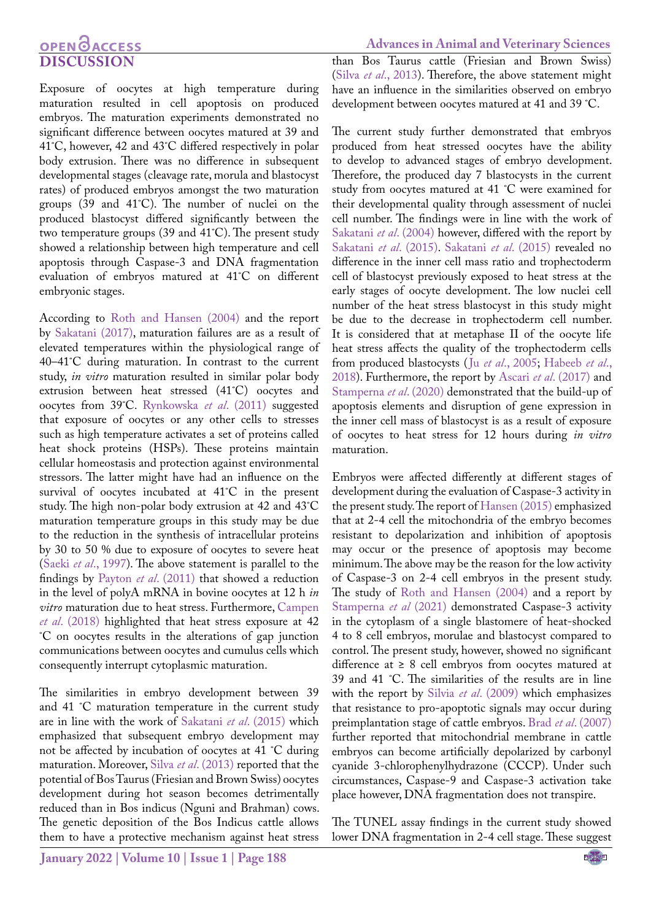# **OPEN**OACCESS **Discussion**

**Advances in Animal and Veterinary Sciences**

Exposure of oocytes at high temperature during maturation resulted in cell apoptosis on produced embryos. The maturation experiments demonstrated no significant difference between oocytes matured at 39 and 41˚C, however, 42 and 43˚C differed respectively in polar body extrusion. There was no difference in subsequent developmental stages (cleavage rate, morula and blastocyst rates) of produced embryos amongst the two maturation groups (39 and 41˚C). The number of nuclei on the produced blastocyst differed significantly between the two temperature groups (39 and 41˚C). The present study showed a relationship between high temperature and cell apoptosis through Caspase-3 and DNA fragmentation evaluation of embryos matured at 41˚C on different embryonic stages.

According to [Roth and Hansen \(2004\)](#page-7-16) and the report by [Sakatani \(2017\),](#page-7-0) maturation failures are as a result of elevated temperatures within the physiological range of 40–41˚C during maturation. In contrast to the current study, *in vitro* maturation resulted in similar polar body extrusion between heat stressed (41˚C) oocytes and oocytes from 39˚C. Rynkowska *et al*. (2011) suggested that exposure of oocytes or any other cells to stresses such as high temperature activates a set of proteins called heat shock proteins (HSPs). These proteins maintain cellular homeostasis and protection against environmental stressors. The latter might have had an influence on the survival of oocytes incubated at 41˚C in the present study. The high non-polar body extrusion at 42 and 43˚C maturation temperature groups in this study may be due to the reduction in the synthesis of intracellular proteins by 30 to 50 % due to exposure of oocytes to severe heat (Saeki *et al*[., 1997](#page-7-17)). The above statement is parallel to the findings by Payton *et al*[. \(2011\)](#page-7-18) that showed a reduction in the level of polyA mRNA in bovine oocytes at 12 h *in vitro* maturation due to heat stress. Furthermore, [Campen](#page-6-6)  *et al*[. \(2018\)](#page-6-6) highlighted that heat stress exposure at 42 ˚C on oocytes results in the alterations of gap junction communications between oocytes and cumulus cells which consequently interrupt cytoplasmic maturation.

The similarities in embryo development between 39 and 41 ˚C maturation temperature in the current study are in line with the work of [Sakatani](#page-7-19) *et al*. (2015) which emphasized that subsequent embryo development may not be affected by incubation of oocytes at 41 ˚C during maturation. Moreover, Silva *et al*[. \(2013\)](#page-7-13) reported that the potential of Bos Taurus (Friesian and Brown Swiss) oocytes development during hot season becomes detrimentally reduced than in Bos indicus (Nguni and Brahman) cows. The genetic deposition of the Bos Indicus cattle allows them to have a protective mechanism against heat stress

**January 2022 | Volume 10 | Issue 1 | Page 188**

than Bos Taurus cattle (Friesian and Brown Swiss) (Silva *et al*[., 2013\)](#page-7-13). Therefore, the above statement might have an influence in the similarities observed on embryo development between oocytes matured at 41 and 39 ˚C.

The current study further demonstrated that embryos produced from heat stressed oocytes have the ability to develop to advanced stages of embryo development. Therefore, the produced day 7 blastocysts in the current study from oocytes matured at 41 ˚C were examined for their developmental quality through assessment of nuclei cell number. The findings were in line with the work of [Sakatani](#page-7-20) *et al*. (2004) however, differed with the report by [Sakatani](#page-7-19) *et al*. (2015). [Sakatani](#page-7-19) *et al*. (2015) revealed no difference in the inner cell mass ratio and trophectoderm cell of blastocyst previously exposed to heat stress at the early stages of oocyte development. The low nuclei cell number of the heat stress blastocyst in this study might be due to the decrease in trophectoderm cell number. It is considered that at metaphase II of the oocyte life heat stress affects the quality of the trophectoderm cells from produced blastocysts (Ju *et al*[., 2005](#page-7-21); [Habeeb](#page-6-7) *et al*., [2018\)](#page-6-7). Furthermore, the report by Ascari *et al*. (2017) and [Stamperna](#page-7-22) *et al*. (2020) demonstrated that the build-up of apoptosis elements and disruption of gene expression in the inner cell mass of blastocyst is as a result of exposure of oocytes to heat stress for 12 hours during *in vitro* maturation.

Embryos were affected differently at different stages of development during the evaluation of Caspase-3 activity in the present study. The report of [Hansen \(2015\)](#page-6-8) emphasized that at 2-4 cell the mitochondria of the embryo becomes resistant to depolarization and inhibition of apoptosis may occur or the presence of apoptosis may become minimum. The above may be the reason for the low activity of Caspase-3 on 2-4 cell embryos in the present study. The study of [Roth and Hansen \(2004\)](#page-7-16) and a report by [Stamperna](#page-7-22) *et al* (2021) demonstrated Caspase-3 activity in the cytoplasm of a single blastomere of heat-shocked 4 to 8 cell embryos, morulae and blastocyst compared to control. The present study, however, showed no significant difference at ≥ 8 cell embryos from oocytes matured at 39 and 41 ˚C. The similarities of the results are in line with the report by Silvia *et al*[. \(2009\)](#page-7-23) which emphasizes that resistance to pro-apoptotic signals may occur during preimplantation stage of cattle embryos. Brad *et al*[. \(2007\)](#page-6-9) further reported that mitochondrial membrane in cattle embryos can become artificially depolarized by carbonyl cyanide 3-chlorophenylhydrazone (CCCP). Under such circumstances, Caspase-9 and Caspase-3 activation take place however, DNA fragmentation does not transpire.

The TUNEL assay findings in the current study showed lower DNA fragmentation in 2-4 cell stage. These suggest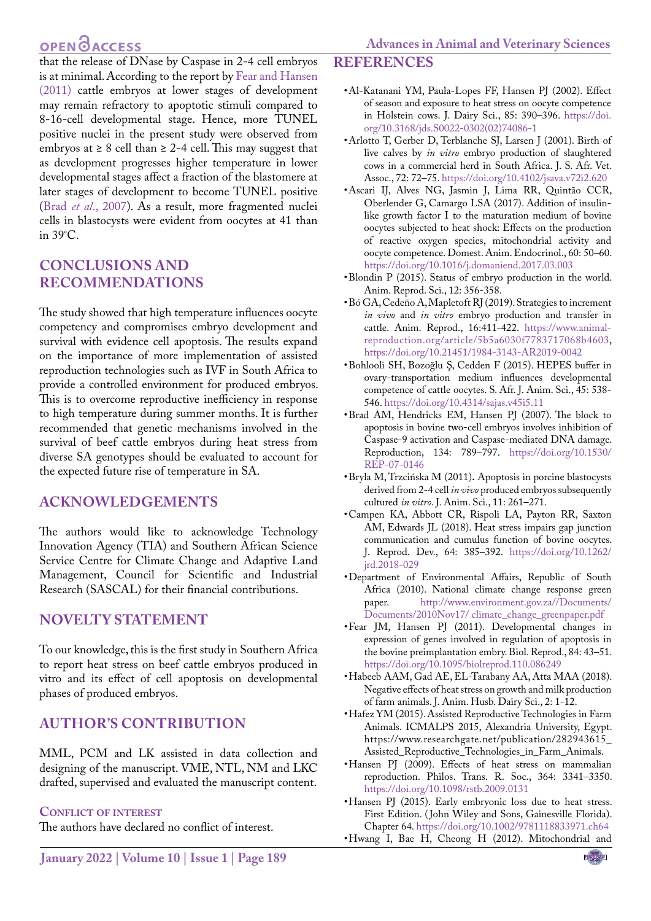#### **Advances in Animal and Veterinary Sciences**

# OPEN **OACCESS**

that the release of DNase by Caspase in 2-4 cell embryos is at minimal. According to the report by [Fear and Hansen](#page-6-10)  [\(2011\)](#page-6-10) cattle embryos at lower stages of development may remain refractory to apoptotic stimuli compared to 8-16-cell developmental stage. Hence, more TUNEL positive nuclei in the present study were observed from embryos at ≥ 8 cell than ≥ 2-4 cell. This may suggest that as development progresses higher temperature in lower developmental stages affect a fraction of the blastomere at later stages of development to become TUNEL positive (Brad *et al*[., 2007\)](#page-6-9). As a result, more fragmented nuclei cells in blastocysts were evident from oocytes at 41 than in  $39^{\circ}$ C.

### **Conclusions and Recommendations**

The study showed that high temperature influences oocyte competency and compromises embryo development and survival with evidence cell apoptosis. The results expand on the importance of more implementation of assisted reproduction technologies such as IVF in South Africa to provide a controlled environment for produced embryos. This is to overcome reproductive inefficiency in response to high temperature during summer months. It is further recommended that genetic mechanisms involved in the survival of beef cattle embryos during heat stress from diverse SA genotypes should be evaluated to account for the expected future rise of temperature in SA.

## **Acknowledgements**

The authors would like to acknowledge Technology Innovation Agency (TIA) and Southern African Science Service Centre for Climate Change and Adaptive Land Management, Council for Scientific and Industrial Research (SASCAL) for their financial contributions.

## **Novelty Statement**

To our knowledge, this is the first study in Southern Africa to report heat stress on beef cattle embryos produced in vitro and its effect of cell apoptosis on developmental phases of produced embryos.

## **Author's Contribution**

MML, PCM and LK assisted in data collection and designing of the manuscript. VME, NTL, NM and LKC drafted, supervised and evaluated the manuscript content.

#### **Conflict of interest**

The authors have declared no conflict of interest.

#### **References**

- <span id="page-6-3"></span>• Al-Katanani YM, Paula-Lopes FF, Hansen PJ (2002). Effect of season and exposure to heat stress on oocyte competence in Holstein cows. J. Dairy Sci., 85: 390–396. [https://doi.](https://doi.org/10.3168/jds.S0022-0302(02)74086-1) [org/10.3168/jds.S0022-0302\(02\)74086-1](https://doi.org/10.3168/jds.S0022-0302(02)74086-1)
- <span id="page-6-2"></span>• Arlotto T, Gerber D, Terblanche SJ, Larsen J (2001). Birth of live calves by *in vitro* embryo production of slaughtered cows in a commercial herd in South Africa. J. S. Afr. Vet. Assoc., 72: 72–75.<https://doi.org/10.4102/jsava.v72i2.620>
- • Ascari IJ, Alves NG, Jasmin J, Lima RR, Quintão CCR, Oberlender G, Camargo LSA (2017). Addition of insulin‐ like growth factor I to the maturation medium of bovine oocytes subjected to heat shock: Effects on the production of reactive oxygen species, mitochondrial activity and oocyte competence. Domest. Anim. Endocrinol., 60: 50–60. <https://doi.org/10.1016/j.domaniend.2017.03.003>
- <span id="page-6-1"></span>• Blondin P (2015). Status of embryo production in the world. Anim. Reprod. Sci., 12: 356-358.
- • Bó GA, Cedeño A, Mapletoft RJ (2019). Strategies to increment *in vivo* and *in vitro* embryo production and transfer in cattle. Anim. Reprod., 16:411-422. [https://www.animal](https://www.animal-reproduction.org/article/5b5a6030f7783717068b4603)[reproduction.org/article/5b5a6030f7783717068b4603,](https://www.animal-reproduction.org/article/5b5a6030f7783717068b4603) <https://doi.org/10.21451/1984-3143-AR2019-0042>
- • Bohlooli SH, Bozoğlu Ş, Cedden F (2015). HEPES buffer in ovary-transportation medium influences developmental competence of cattle oocytes. S. Afr. J. Anim. Sci., 45: 538- 546.<https://doi.org/10.4314/sajas.v45i5.11>
- <span id="page-6-9"></span>• Brad AM, Hendricks EM, Hansen PJ (2007). The block to apoptosis in bovine two-cell embryos involves inhibition of Caspase-9 activation and Caspase-mediated DNA damage. Reproduction, 134: 789–797. [https://doi.org/10.1530/](https://doi.org/10.1530/REP-07-0146) [REP-07-0146](https://doi.org/10.1530/REP-07-0146)
- • Bryla M, Trzcińska M (2011)**.** Apoptosis in porcine blastocysts derived from 2-4 cell *in vivo* produced embryos subsequently cultured *in vitro*. J. Anim. Sci., 11: 261–271.
- <span id="page-6-6"></span>• Campen KA, Abbott CR, Rispoli LA, Payton RR, Saxton AM, Edwards JL (2018). Heat stress impairs gap junction communication and cumulus function of bovine oocytes. J. Reprod. Dev., 64: 385–392. [https://doi.org/10.1262/](https://doi.org/10.1262/jrd.2018-029) [jrd.2018-029](https://doi.org/10.1262/jrd.2018-029)
- <span id="page-6-4"></span>• Department of Environmental Affairs, Republic of South Africa (2010). National climate change response green<br>paper. http://www.environment.gov.za//Documents/ [http://www.environment.gov.za//Documents/](http://www.environment.gov.za//Documents/Documents/2010Nov17/ climate_change_greenpaper.pdf) [Documents/2010Nov17/ climate\\_change\\_greenpaper.pdf](http://www.environment.gov.za//Documents/Documents/2010Nov17/ climate_change_greenpaper.pdf)
- <span id="page-6-10"></span>• Fear JM, Hansen PJ (2011). Developmental changes in expression of genes involved in regulation of apoptosis in the bovine preimplantation embry. Biol. Reprod., 84: 43–51. <https://doi.org/10.1095/biolreprod.110.086249>
- <span id="page-6-7"></span>• Habeeb AAM, Gad AE, EL-Tarabany AA, Atta MAA (2018). Negative effects of heat stress on growth and milk production of farm animals. J. Anim. Husb. Dairy Sci., 2: 1-12.
- <span id="page-6-0"></span>• Hafez YM (2015). Assisted Reproductive Technologies in Farm Animals. ICMALPS 2015, Alexandria University, Egypt. https://www.researchgate.net/publication/282943615\_ Assisted\_Reproductive\_Technologies\_in\_Farm\_Animals.
- • Hansen PJ (2009). Effects of heat stress on mammalian reproduction. Philos. Trans. R. Soc., 364: 3341–3350. <https://doi.org/10.1098/rstb.2009.0131>
- <span id="page-6-8"></span>• Hansen PJ (2015). Early embryonic loss due to heat stress. First Edition. ( John Wiley and Sons, Gainesville Florida). Chapter 64. <https://doi.org/10.1002/9781118833971.ch64>
- <span id="page-6-5"></span>• Hwang I, Bae H, Cheong H (2012). Mitochondrial and

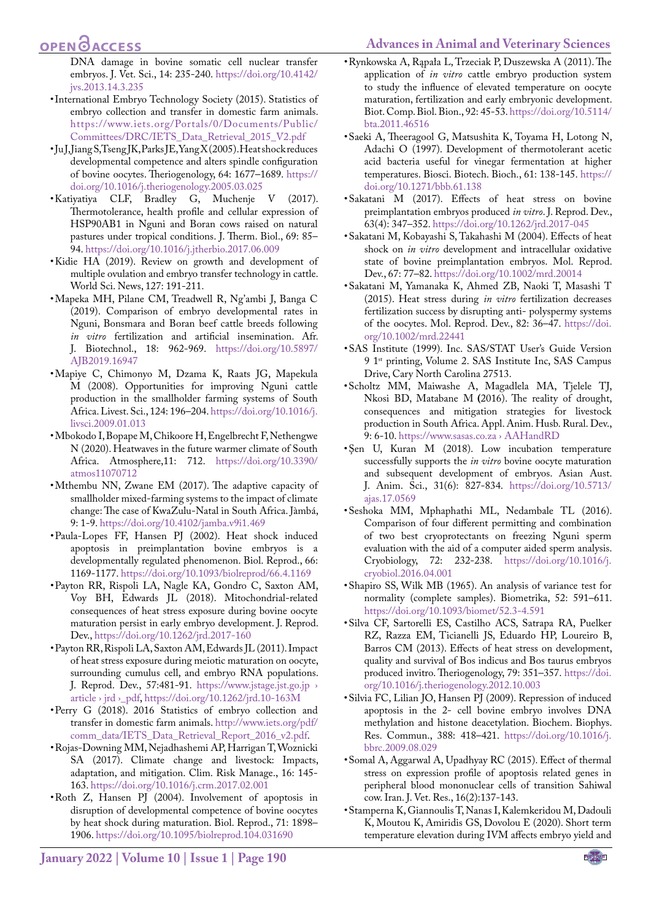#### **Advances in Animal and Veterinary Sciences**

# **OPEN**<sub>d</sub>

DNA damage in bovine somatic cell nuclear transfer embryos. J. Vet. Sci., 14: 235-240. [https://doi.org/10.4142/](https://doi.org/10.4142/jvs.2013.14.3.235) [jvs.2013.14.3.235](https://doi.org/10.4142/jvs.2013.14.3.235)

- <span id="page-7-2"></span>• International Embryo Technology Society (2015). Statistics of embryo collection and transfer in domestic farm animals. [https://www.iets.org/Portals/0/Documents/Public/](https://www.iets.org/Portals/0/Documents/Public/Committees/DRC/IETS_Data_Retrieval_2015_V2.pdf ) [Committees/DRC/IETS\\_Data\\_Retrieval\\_2015\\_V2.pdf](https://www.iets.org/Portals/0/Documents/Public/Committees/DRC/IETS_Data_Retrieval_2015_V2.pdf )
- <span id="page-7-21"></span>• Ju J, Jiang S, Tseng JK, Parks JE, Yang X (2005). Heat shock reduces developmental competence and alters spindle configuration of bovine oocytes. Theriogenology, 64: 1677–1689. [https://](https://doi.org/10.1016/j.theriogenology.2005.03.025) [doi.org/10.1016/j.theriogenology.2005.03.025](https://doi.org/10.1016/j.theriogenology.2005.03.025)
- • Katiyatiya CLF, Bradley G, Muchenje V (2017). Thermotolerance, health profile and cellular expression of HSP90AB1 in Nguni and Boran cows raised on natural pastures under tropical conditions. J. Therm. Biol., 69: 85– 94.<https://doi.org/10.1016/j.jtherbio.2017.06.009>
- <span id="page-7-1"></span>• Kidie HA (2019). Review on growth and development of multiple ovulation and embryo transfer technology in cattle. World Sci. News, 127: 191-211.
- • Mapeka MH, Pilane CM, Treadwell R, Ng'ambi J, Banga C (2019). Comparison of embryo developmental rates in Nguni, Bonsmara and Boran beef cattle breeds following *in vitro* fertilization and artificial insemination. Afr. J. Biotechnol., 18: 962-969. [https://doi.org/10.5897/](https://doi.org/10.5897/AJB2019.16947) [AJB2019.16947](https://doi.org/10.5897/AJB2019.16947)
- <span id="page-7-10"></span>• Mapiye C, Chimonyo M, Dzama K, Raats JG, Mapekula M (2008). Opportunities for improving Nguni cattle production in the smallholder farming systems of South Africa. Livest. Sci., 124: 196–204. [https://doi.org/10.1016/j.](https://doi.org/10.1016/j.livsci.2009.01.013) [livsci.2009.01.013](https://doi.org/10.1016/j.livsci.2009.01.013)
- <span id="page-7-9"></span>• Mbokodo I, Bopape M, Chikoore H, Engelbrecht F, Nethengwe N (2020). Heatwaves in the future warmer climate of South Africa. Atmosphere,11: 712. [https://doi.org/10.3390/](https://doi.org/10.3390/atmos11070712) [atmos11070712](https://doi.org/10.3390/atmos11070712)
- • Mthembu NN, Zwane EM (2017). The adaptive capacity of smallholder mixed-farming systems to the impact of climate change: The case of KwaZulu-Natal in South Africa. Jàmbá, 9: 1-9.<https://doi.org/10.4102/jamba.v9i1.469>
- <span id="page-7-5"></span>• Paula-Lopes FF, Hansen PJ (2002). Heat shock induced apoptosis in preimplantation bovine embryos is a developmentally regulated phenomenon. Biol. Reprod., 66: 1169-1177.<https://doi.org/10.1093/biolreprod/66.4.1169>
- <span id="page-7-4"></span>• Payton RR, Rispoli LA, Nagle KA, Gondro C, Saxton AM, Voy BH, Edwards JL (2018). Mitochondrial-related consequences of heat stress exposure during bovine oocyte maturation persist in early embryo development. J. Reprod. Dev.,<https://doi.org/10.1262/jrd.2017-160>
- <span id="page-7-18"></span>• Payton RR, Rispoli LA, Saxton AM, Edwards JL (2011). Impact of heat stress exposure during meiotic maturation on oocyte, surrounding cumulus cell, and embryo RNA populations. J. Reprod. Dev., 57:481-91. [https://www.jstage.jst.go.jp ›](https://www.jstage.jst.go.jp � article � jrd �_pdf)  [article › jrd ›\\_pdf,](https://www.jstage.jst.go.jp � article � jrd �_pdf)<https://doi.org/10.1262/jrd.10-163M>
- <span id="page-7-3"></span>• Perry G (2018). 2016 Statistics of embryo collection and transfer in domestic farm animals. [http://www.iets.org/pdf/](http://www.iets.org/pdf/comm_data/IETS_Data_Retrieval_Report_2016_v2.pdf) [comm\\_data/IETS\\_Data\\_Retrieval\\_Report\\_2016\\_v2.pdf](http://www.iets.org/pdf/comm_data/IETS_Data_Retrieval_Report_2016_v2.pdf).
- <span id="page-7-7"></span>• Rojas-Downing MM, Nejadhashemi AP, Harrigan T, Woznicki SA (2017). Climate change and livestock: Impacts, adaptation, and mitigation. Clim. Risk Manage., 16: 145- 163. <https://doi.org/10.1016/j.crm.2017.02.001>
- <span id="page-7-16"></span>• Roth Z, Hansen PJ (2004). Involvement of apoptosis in disruption of developmental competence of bovine oocytes by heat shock during maturation. Biol. Reprod., 71: 1898– 1906. <https://doi.org/10.1095/biolreprod.104.031690>
- • Rynkowska A, Rąpała L, Trzeciak P, Duszewska A (2011). The application of *in vitro* cattle embryo production system to study the influence of elevated temperature on oocyte maturation, fertilization and early embryonic development. Biot. Comp. Biol. Bion., 92: 45-53. [https://doi.org/10.5114/](https://doi.org/10.5114/bta.2011.46516) [bta.2011.46516](https://doi.org/10.5114/bta.2011.46516)
- <span id="page-7-17"></span>• Saeki A, Theeragool G, Matsushita K, Toyama H, Lotong N, Adachi O (1997). Development of thermotolerant acetic acid bacteria useful for vinegar fermentation at higher temperatures. Biosci. Biotech. Bioch., 61: 138-145. [https://](https://doi.org/10.1271/bbb.61.138) [doi.org/10.1271/bbb.61.138](https://doi.org/10.1271/bbb.61.138)
- <span id="page-7-0"></span>• Sakatani M (2017). Effects of heat stress on bovine preimplantation embryos produced *in vitro*. J. Reprod. Dev., 63(4): 347–352. <https://doi.org/10.1262/jrd.2017-045>
- <span id="page-7-20"></span>• Sakatani M, Kobayashi S, Takahashi M (2004). Effects of heat shock on *in vitro* development and intracellular oxidative state of bovine preimplantation embryos. Mol. Reprod. Dev., 67: 77–82.<https://doi.org/10.1002/mrd.20014>
- <span id="page-7-19"></span>• Sakatani M, Yamanaka K, Ahmed ZB, Naoki T, Masashi T (2015). Heat stress during *in vitro* fertilization decreases fertilization success by disrupting anti- polyspermy systems of the oocytes. Mol. Reprod. Dev., 82: 36–47. [https://doi.](https://doi.org/10.1002/mrd.22441) [org/10.1002/mrd.22441](https://doi.org/10.1002/mrd.22441)
- <span id="page-7-15"></span>• SAS Institute (1999). Inc. SAS/STAT User's Guide Version 9 1st printing, Volume 2. SAS Institute Inc, SAS Campus Drive, Cary North Carolina 27513.
- <span id="page-7-8"></span>• Scholtz MM, Maiwashe A, Magadlela MA, Tjelele TJ, Nkosi BD, Matabane M **(**2016). The reality of drought, consequences and mitigation strategies for livestock production in South Africa. Appl. Anim. Husb. Rural. Dev., 9: 6-10. [https://www.sasas.co.za › AAHandRD](https://www.sasas.co.za � AAHandRD)
- <span id="page-7-11"></span>• Şen U, Kuran M (2018). Low incubation temperature successfully supports the *in vitro* bovine oocyte maturation and subsequent development of embryos. Asian Aust. J. Anim. Sci., 31(6): 827-834. [https://doi.org/10.5713/](https://doi.org/10.5713/ajas.17.0569) [ajas.17.0569](https://doi.org/10.5713/ajas.17.0569)
- <span id="page-7-12"></span>• Seshoka MM, Mphaphathi ML, Nedambale TL (2016). Comparison of four different permitting and combination of two best cryoprotectants on freezing Nguni sperm evaluation with the aid of a computer aided sperm analysis. Cryobiology, 72: 232-238. [https://doi.org/10.1016/j.](https://doi.org/10.1016/j.cryobiol.2016.04.001) [cryobiol.2016.04.001](https://doi.org/10.1016/j.cryobiol.2016.04.001)
- <span id="page-7-14"></span>• Shapiro SS, Wilk MB (1965). An analysis of variance test for normality (complete samples). Biometrika, 52: 591–611. <https://doi.org/10.1093/biomet/52.3-4.591>
- <span id="page-7-13"></span>• Silva CF, Sartorelli ES, Castilho ACS, Satrapa RA, Puelker RZ, Razza EM, Ticianelli JS, Eduardo HP, Loureiro B, Barros CM (2013). Effects of heat stress on development, quality and survival of Bos indicus and Bos taurus embryos produced invitro. Theriogenology, 79: 351–357. [https://doi.](https://doi.org/10.1016/j.theriogenology.2012.10.003) [org/10.1016/j.theriogenology.2012.10.003](https://doi.org/10.1016/j.theriogenology.2012.10.003)
- <span id="page-7-23"></span>• Silvia FC, Lilian JO, Hansen PJ (2009). Repression of induced apoptosis in the 2- cell bovine embryo involves DNA methylation and histone deacetylation. Biochem. Biophys. Res. Commun., 388: 418–421. [https://doi.org/10.1016/j.](https://doi.org/10.1016/j.bbrc.2009.08.029) [bbrc.2009.08.029](https://doi.org/10.1016/j.bbrc.2009.08.029)
- <span id="page-7-6"></span>• Somal A, Aggarwal A, Upadhyay RC (2015). Effect of thermal stress on expression profile of apoptosis related genes in peripheral blood mononuclear cells of transition Sahiwal cow. Iran. J. Vet. Res., 16(2):137-143.
- <span id="page-7-22"></span>• Stamperna K, Giannoulis T, Nanas I, Kalemkeridou M, Dadouli K, Moutou K, Amiridis GS, Dovolou E (2020). Short term temperature elevation during IVM affects embryo yield and